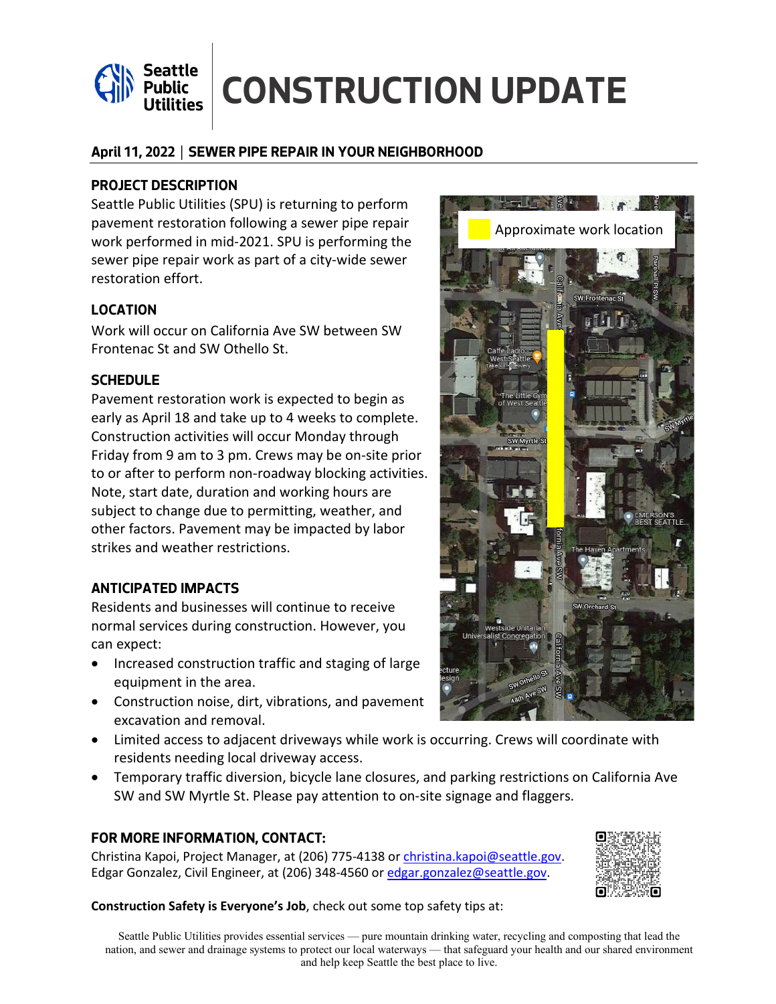

# Seattle **CONSTRUCTION UPDATE**

### **April 11, 2022 │ SEWER PIPE REPAIR IN YOUR NEIGHBORHOOD**

### **PROJECT DESCRIPTION**

Seattle Public Utilities (SPU) is returning to perform pavement restoration following a sewer pipe repair work performed in mid-2021. SPU is performing the sewer pipe repair work as part of a city-wide sewer restoration effort.

# **LOCATION**

Work will occur on California Ave SW between SW Frontenac St and SW Othello St.

# **SCHEDULE**

Pavement restoration work is expected to begin as early as April 18 and take up to 4 weeks to complete. Construction activities will occur Monday through Friday from 9 am to 3 pm. Crews may be on-site prior to or after to perform non-roadway blocking activities. Note, start date, duration and working hours are subject to change due to permitting, weather, and other factors. Pavement may be impacted by labor strikes and weather restrictions.

#### **ANTICIPATED IMPACTS**

Residents and businesses will continue to receive normal services during construction. However, you can expect:

- Increased construction traffic and staging of large equipment in the area.
- Construction noise, dirt, vibrations, and pavement excavation and removal.
- Limited access to adjacent driveways while work is occurring. Crews will coordinate with residents needing local driveway access.
- Temporary traffic diversion, bicycle lane closures, and parking restrictions on California Ave SW and SW Myrtle St. Please pay attention to on-site signage and flaggers.

#### **FOR MORE INFORMATION, CONTACT:**

Christina Kapoi, Project Manager, at (206) 775-4138 o[r christina.kapoi@seattle.gov.](mailto:christina.kapoi@seattle.gov) Edgar Gonzalez, Civil Engineer, at (206) 348-4560 o[r edgar.gonzalez@seattle.gov.](mailto:edgar.gonzalez@seattle.gov)

#### **Construction Safety is Everyone's Job**, check out some top safety tips at: